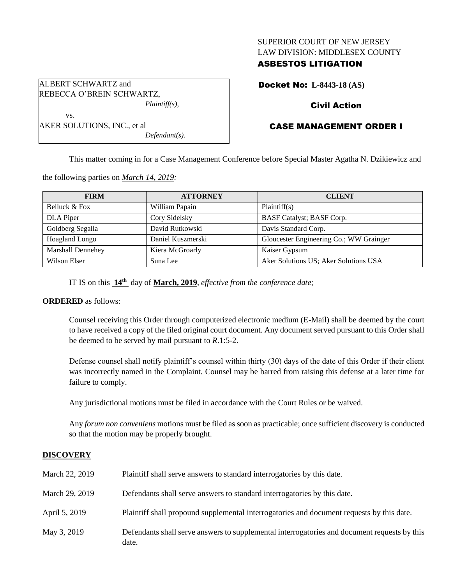## SUPERIOR COURT OF NEW JERSEY LAW DIVISION: MIDDLESEX COUNTY

## ASBESTOS LITIGATION

Docket No: **L-8443-18 (AS)**

# Civil Action

# CASE MANAGEMENT ORDER I

vs. AKER SOLUTIONS, INC., et al *Defendant(s).*

*Plaintiff(s),*

ALBERT SCHWARTZ and

REBECCA O'BREIN SCHWARTZ,

This matter coming in for a Case Management Conference before Special Master Agatha N. Dzikiewicz and

the following parties on *March 14, 2019:*

| <b>FIRM</b>       | <b>ATTORNEY</b>   | <b>CLIENT</b>                           |
|-------------------|-------------------|-----------------------------------------|
| Belluck & Fox     | William Papain    | Plaintiff(s)                            |
| DLA Piper         | Cory Sidelsky     | BASF Catalyst; BASF Corp.               |
| Goldberg Segalla  | David Rutkowski   | Davis Standard Corp.                    |
| Hoagland Longo    | Daniel Kuszmerski | Gloucester Engineering Co.; WW Grainger |
| Marshall Dennehey | Kiera McGroarly   | Kaiser Gypsum                           |
| Wilson Elser      | Suna Lee          | Aker Solutions US; Aker Solutions USA   |

IT IS on this **14th** day of **March, 2019**, *effective from the conference date;*

# **ORDERED** as follows:

Counsel receiving this Order through computerized electronic medium (E-Mail) shall be deemed by the court to have received a copy of the filed original court document. Any document served pursuant to this Order shall be deemed to be served by mail pursuant to *R*.1:5-2.

Defense counsel shall notify plaintiff's counsel within thirty (30) days of the date of this Order if their client was incorrectly named in the Complaint. Counsel may be barred from raising this defense at a later time for failure to comply.

Any jurisdictional motions must be filed in accordance with the Court Rules or be waived.

Any *forum non conveniens* motions must be filed as soon as practicable; once sufficient discovery is conducted so that the motion may be properly brought.

# **DISCOVERY**

| March 22, 2019 | Plaintiff shall serve answers to standard interrogatories by this date.                               |
|----------------|-------------------------------------------------------------------------------------------------------|
| March 29, 2019 | Defendants shall serve answers to standard interrogatories by this date.                              |
| April 5, 2019  | Plaintiff shall propound supplemental interrogatories and document requests by this date.             |
| May 3, 2019    | Defendants shall serve answers to supplemental interrogatories and document requests by this<br>date. |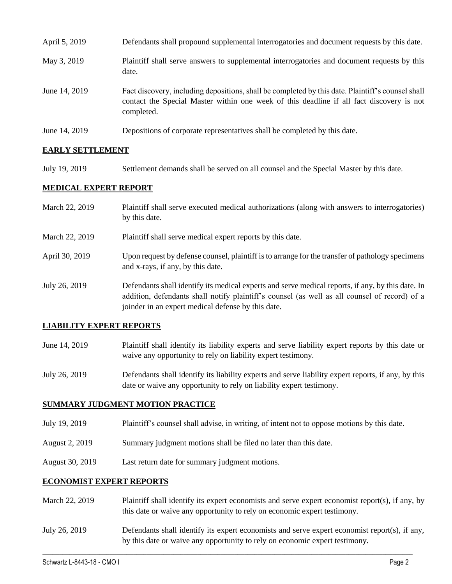| April 5, 2019 | Defendants shall propound supplemental interrogatories and document requests by this date.                                                                                                                  |
|---------------|-------------------------------------------------------------------------------------------------------------------------------------------------------------------------------------------------------------|
| May 3, 2019   | Plaintiff shall serve answers to supplemental interrogatories and document requests by this<br>date.                                                                                                        |
| June 14, 2019 | Fact discovery, including depositions, shall be completed by this date. Plaintiff's counsel shall<br>contact the Special Master within one week of this deadline if all fact discovery is not<br>completed. |
| June 14, 2019 | Depositions of corporate representatives shall be completed by this date.                                                                                                                                   |

## **EARLY SETTLEMENT**

July 19, 2019 Settlement demands shall be served on all counsel and the Special Master by this date.

## **MEDICAL EXPERT REPORT**

| March 22, 2019 | Plaintiff shall serve executed medical authorizations (along with answers to interrogatories)<br>by this date.                                                                                                                                           |
|----------------|----------------------------------------------------------------------------------------------------------------------------------------------------------------------------------------------------------------------------------------------------------|
| March 22, 2019 | Plaintiff shall serve medical expert reports by this date.                                                                                                                                                                                               |
| April 30, 2019 | Upon request by defense counsel, plaintiff is to arrange for the transfer of pathology specimens<br>and x-rays, if any, by this date.                                                                                                                    |
| July 26, 2019  | Defendants shall identify its medical experts and serve medical reports, if any, by this date. In<br>addition, defendants shall notify plaintiff's counsel (as well as all counsel of record) of a<br>joinder in an expert medical defense by this date. |

#### **LIABILITY EXPERT REPORTS**

- June 14, 2019 Plaintiff shall identify its liability experts and serve liability expert reports by this date or waive any opportunity to rely on liability expert testimony.
- July 26, 2019 Defendants shall identify its liability experts and serve liability expert reports, if any, by this date or waive any opportunity to rely on liability expert testimony.

#### **SUMMARY JUDGMENT MOTION PRACTICE**

- July 19, 2019 Plaintiff's counsel shall advise, in writing, of intent not to oppose motions by this date.
- August 2, 2019 Summary judgment motions shall be filed no later than this date.
- August 30, 2019 Last return date for summary judgment motions.

#### **ECONOMIST EXPERT REPORTS**

- March 22, 2019 Plaintiff shall identify its expert economists and serve expert economist report(s), if any, by this date or waive any opportunity to rely on economic expert testimony.
- July 26, 2019 Defendants shall identify its expert economists and serve expert economist report(s), if any, by this date or waive any opportunity to rely on economic expert testimony.

 $\_$  , and the set of the set of the set of the set of the set of the set of the set of the set of the set of the set of the set of the set of the set of the set of the set of the set of the set of the set of the set of th